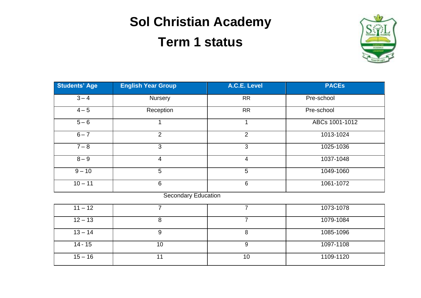## **Sol Christian Academy**

## **Term 1 status**



| Students' Age | <b>English Year Group</b>                       | A.C.E. Level           | <b>PACES</b>   |
|---------------|-------------------------------------------------|------------------------|----------------|
| $3 - 4$       | <b>Nursery</b>                                  | <b>RR</b>              | Pre-school     |
| $4 - 5$       | Reception                                       | <b>RR</b>              | Pre-school     |
| $5 - 6$       |                                                 |                        | ABCs 1001-1012 |
| $6 - 7$       | 2                                               | 2                      | 1013-1024      |
| $7 - 8$       | 3                                               | 3                      | 1025-1036      |
| $8 - 9$       | 4                                               | 4                      | 1037-1048      |
| $9 - 10$      | 5                                               | 5                      | 1049-1060      |
| $10 - 11$     | 6                                               | 6                      | 1061-1072      |
|               | $\sim$<br>$-1$<br>and the state of the state of | <b><i>Contract</i></b> |                |

Secondary Education

| $11 - 12$ |    |    | 1073-1078 |
|-----------|----|----|-----------|
| $12 - 13$ |    |    | 1079-1084 |
| $13 - 14$ |    |    | 1085-1096 |
| $14 - 15$ | 10 |    | 1097-1108 |
| $15 - 16$ |    | 10 | 1109-1120 |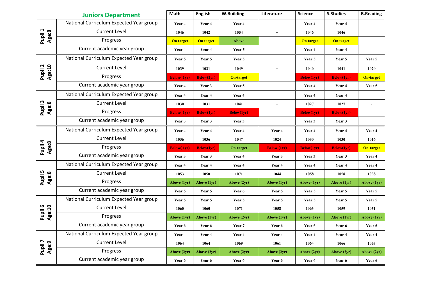|                   | <b>Juniors Department</b>               | Math               | <b>English</b>     | <b>W.Building</b>  | Literature         | <b>Science</b>    | <b>S.Studies</b>   | <b>B.Reading</b> |
|-------------------|-----------------------------------------|--------------------|--------------------|--------------------|--------------------|-------------------|--------------------|------------------|
|                   | National Curriculum Expected Year group | Year 4             | Year 4             | Year 4             |                    | Year 4            | Year 4             |                  |
| Pupil 1<br>Age:8  | <b>Current Level</b>                    | 1046               | 1042               | 1054               |                    | 1046              | 1046               | $\mathbf{r}$     |
|                   | Progress                                | On target          | On target          | <b>Above</b>       |                    | <b>On target</b>  | On target          |                  |
|                   | Current academic year group             | Year 4             | Year 4             | Year 5             |                    | Year 4            | Year 4             |                  |
|                   | National Curriculum Expected Year group | Year 5             | Year 5             | Year 5             |                    | Year 5            | Year 5             | Year 5           |
| Pupil 2<br>Age:10 | <b>Current Level</b>                    | 1039               | 1031               | 1049               | $\overline{a}$     | 1040              | 1041               | 1020             |
|                   | Progress                                | <b>Below</b> (1yr) | <b>Below(2yr)</b>  | <b>On-target</b>   |                    | <b>Below(1yr)</b> | <b>Below</b> (1yr) | <b>On-target</b> |
|                   | Current academic year group             | Year 4             | Year 3             | Year 5             |                    | Year 4            | Year 4             | Year 5           |
|                   | National Curriculum Expected Year group | Year 4             | Year 4             | Year 4             |                    | Year 4            | Year 4             |                  |
| Pupil 3<br>Age:8  | <b>Current Level</b>                    | 1030               | 1031               | 1041               |                    | 1027              | 1027               | $\blacksquare$   |
|                   | Progress                                | <b>Below</b> (1yr) | <b>Below</b> (1yr) | <b>Below</b> (1yr) |                    | <b>Below(1yr)</b> | <b>Below(1yr)</b>  |                  |
|                   | Current academic year group             | Year 3             | Year 3             | Year 3             |                    | Year 3            | Year 3             |                  |
|                   | National Curriculum Expected Year group | Year 4             | Year 4             | Year 4             | Year 4             | Year 4            | Year 4             | Year 4           |
|                   | <b>Current Level</b>                    | 1036               | 1036               | 1047               | 1024               | 1030              | 1030               | 1016             |
| Pupil 4<br>Age:8  | Progress                                | <b>Below</b> (1yr) | <b>Below(1yr)</b>  | On-target          | <b>Below</b> (1yr) | <b>Below(1yr)</b> | <b>Below</b> (1yr) | <b>On-target</b> |
|                   | Current academic year group             | Year 3             | Year 3             | Year 4             | Year 3             | Year 3            | Year 3             | Year 4           |
|                   | National Curriculum Expected Year group | Year 4             | Year 4             | Year 4             | Year 4             | Year 4            | Year 4             | Year 4           |
| Pupil 5<br>Age:8  | <b>Current Level</b>                    | 1053               | 1050               | 1071               | 1044               | 1058              | 1058               | 1038             |
|                   | Progress                                | Above (1yr)        | Above (1yr)        | Above $(2yr)$      | Above (1yr)        | Above (1yr)       | Above (1yr)        | Above (1yr)      |
|                   | Current academic year group             | Year 5             | Year 5             | Year 6             | Year 5             | Year 5            | Year 5             | Year 5           |
|                   | National Curriculum Expected Year group | Year 5             | Year 5             | Year 5             | Year 5             | Year 5            | Year 5             | Year 5           |
| Pupil 6<br>Age:10 | <b>Current Level</b>                    | 1060               | 1060               | 1071               | 1058               | 1063              | 1059               | 1051             |
|                   | Progress                                | Above (1yr)        | <b>Above (1yr)</b> | Above (2yr)        | Above (1yr)        | Above (1yr)       | Above (1yr)        | Above (1yr)      |
|                   | Current academic year group             | Year 6             | Year 6             | Year 7             | Year 6             | Year 6            | Year 6             | Year 6           |
|                   | National Curriculum Expected Year group | Year 4             | Year 4             | Year 4             | Year 4             | Year 4            | Year 4             | Year 4           |
| Pupil 7<br>Age:9  | <b>Current Level</b>                    | 1064               | 1064               | 1069               | 1061               | 1064              | 1066               | 1053             |
|                   | Progress                                | <b>Above (2yr)</b> | Above (2yr)        | Above (2yr)        | Above (2yr)        | Above (2yr)       | <b>Above (2yr)</b> | Above (2yr)      |
|                   | Current academic year group             | Year 6             | Year 6             | Year 6             | Year 6             | Year 6            | Year 6             | Year 6           |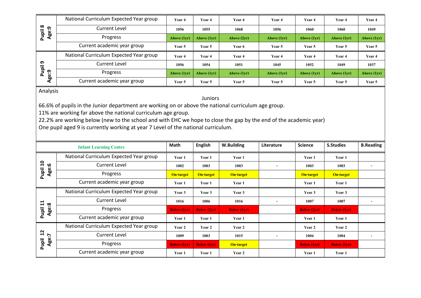| $\infty$<br>Age:9<br>liqu<br>ō. | National Curriculum Expected Year group | Year 4      | Year 4      | Year 4        | Year 4      | Year 4      | Year 4        | Year 4      |
|---------------------------------|-----------------------------------------|-------------|-------------|---------------|-------------|-------------|---------------|-------------|
|                                 | <b>Current Level</b>                    | 1056        | 1055        | 1068          | 1056        | 1060        | 1060          | 1049        |
|                                 | Progress                                | Above (1yr) | Above (1vr) | Above $(2yr)$ | Above (1yr) | Above (1yr) | Above $(1yr)$ | Above (1yr) |
|                                 | Current academic year group             | Year 5      | Year 5      | Year 6        | Year 5      | Year 5      | Year 5        | Year 5      |
| െ<br>jiqu<br>ဂ္ဂ<br>ω           | National Curriculum Expected Year group | Year 4      | Year 4      | Year 4        | Year 4      | Year 4      | Year 4        | Year 4      |
|                                 | <b>Current Level</b>                    | 1056        | 1054        | 1051          | 1045        | 1052        | 1049          | 1037        |
|                                 | Progress                                | Above (1yr) | Above (1vr) | Above $(1yr)$ | Above (1yr) | Above (1yr) | Above $(1yr)$ | Above (1yr) |
| ಕ್ಷಿ                            | Current academic year group             | Year 5      | Year 5      | Year 5        | Year 5      | Year 5      | Year 5        | Year 5      |

Analysis

Juniors

66.6% of pupils in the Junior department are working on or above the national curriculum age group.

11% are working far above the national curriculum age group.

22.2% are working below (new to the school and with EHC we hope to close the gap by the end of the academic year)

One pupil aged 9 is currently working at year 7 Level of the national curriculum.

|                                | <b>Infant Learning Centre</b>           | Math               | <b>English</b>     | W.Building         | Literature               | <b>Science</b>     | <b>S.Studies</b>   | <b>B.Reading</b> |
|--------------------------------|-----------------------------------------|--------------------|--------------------|--------------------|--------------------------|--------------------|--------------------|------------------|
| $\overline{\mathbf{u}}$<br>ڥ   | National Curriculum Expected Year group | Year 1             | Year 1             | Year 1             |                          | Year 1             | Year 1             |                  |
|                                | <b>Current Level</b>                    | 1002               | 1003               | 1003               |                          | 1003               | 1003               |                  |
| Pupil<br>age:<br>Ag            | Progress                                | On-target          | On-target          | On-target          |                          | On-target          | <b>On-target</b>   |                  |
|                                | Current academic year group             | Year 1             | Year 1             | Year 1             |                          | Year 1             | Year 1             |                  |
|                                | National Curriculum Expected Year group | Year 3             | Year 3             | Year 3             |                          | Year 3             | Year 3             |                  |
| $\mathbf{1}$<br>စ္ပ            | <b>Current Level</b>                    | 1016               | 1006               | 1016               | $\overline{\phantom{a}}$ | 1007               | 1007               |                  |
| Pupil<br>es<br>Ago             | Progress                                | <b>Below</b> (1yr) | <b>Below</b> (2yr) | <b>Below</b> (1yr) |                          | <b>Below</b> (2yr) | <b>Below</b> (2yr) |                  |
|                                | Current academic year group             | Year 1             | Year 1             | Year 1             |                          | Year 1             | Year 1             |                  |
|                                | National Curriculum Expected Year group | Year 2             | Year 2             | Year 2             |                          | Year 2             | Year 2             |                  |
| $\frac{12}{7}$<br>Age<br>Pupil | <b>Current Level</b>                    | 1009               | 1003               | 1015               |                          | 1004               | 1004               |                  |
|                                | Progress                                | <b>Below</b> (1yr) | <b>Below</b> (1yr) | On-target          |                          | <b>Below</b> (1yr) | <b>Below</b> (1yr) |                  |
|                                | Current academic year group             | Year 1             | Year 1             | Year 2             |                          | Year 1             | Year 1             |                  |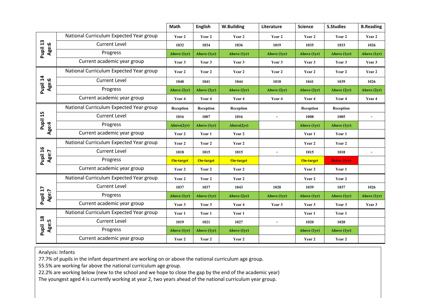|                   |                                         | Math             | <b>English</b> | W.Building       | Literature     | <b>Science</b> | <b>S.Studies</b>   | <b>B.Reading</b> |
|-------------------|-----------------------------------------|------------------|----------------|------------------|----------------|----------------|--------------------|------------------|
|                   | National Curriculum Expected Year group | Year 2           | Year 2         | Year 2           | Year 2         | Year 2         | Year 2             | Year 2           |
| Pupil 13<br>Age:6 | <b>Current Level</b>                    | 1032             | 1034           | 1036             | 1019           | 1035           | 1033               | 1026             |
|                   | Progress                                | Above (1yr)      | Above (1yr)    | Above (1yr)      | Above (1yr)    | Above (1yr)    | Above (1yr)        | Above (1yr)      |
|                   | Current academic year group             | Year 3           | Year 3         | Year 3           | Year 3         | Year 3         | Year 3             | Year 3           |
|                   | National Curriculum Expected Year group | Year 2           | Year 2         | Year 2           | Year 2         | Year 2         | Year 2             | Year 2           |
| Pupil 14<br>Age:6 | <b>Current Level</b>                    | 1040             | 1041           | 1044             | 1018           | 1041           | 1039               | 1026             |
|                   | Progress                                | Above (2yr)      | Above (2yr)    | Above $(2yr)$    | Above (2yr)    | Above (2yr)    | Above (2yr)        | Above (2yr)      |
|                   | Current academic year group             | Year 4           | Year 4         | Year 4           | Year 4         | Year 4         | Year 4             | Year 4           |
|                   | National Curriculum Expected Year group | Reception        | Reception      | Reception        |                | Reception      | Reception          |                  |
| Pupil 15          | <b>Current Level</b>                    | 1016             | 1007           | 1016             | $\mathbf{r}$   | 1008           | 1005               | $\blacksquare$   |
| Age:4             | Progress                                | Above(2yr)       | Above (1yr)    | Above(2yr)       |                | Above (1yr)    | Above (1yr)        |                  |
|                   | Current academic year group             | Year 2           | Year 1         | Year 2           |                | Year 1         | Year 1             |                  |
|                   | National Curriculum Expected Year group | Year 2           | Year 2         | Year 2           |                | Year 2         | Year 2             |                  |
| Pupil 16<br>Age:7 | <b>Current Level</b>                    | 1018             | 1015           | 1015             | $\blacksquare$ | 1015           | 1010               | $\blacksquare$   |
|                   | Progress                                | <b>On-target</b> | On-target      | <b>On-target</b> |                | On-target      | <b>Below</b> (1yr) |                  |
|                   | Current academic year group             | Year 2           | Year 2         | Year 2           |                | Year 2         | Year 1             |                  |
|                   | National Curriculum Expected Year group | Year 2           | Year 2         | Year 2           |                | Year 2         | Year 2             |                  |
|                   | <b>Current Level</b>                    | 1037             | 1037           | 1043             | 1020           | 1039           | 1037               | 1026             |
| Pupil 17<br>Age:7 | Progress                                | Above (1yr)      | Above (1yr)    | Above $(2yr)$    | Above (1yr)    | Above (1yr)    | Above (1yr)        | Above (1yr)      |
|                   | Current academic year group             | Year 3           | Year 3         | Year 4           | Year 3         | Year 3         | Year 3             | Year 3           |
|                   | National Curriculum Expected Year group | Year 1           | Year 1         | Year 1           |                | Year 1         | Year 1             |                  |
| Age:5             | <b>Current Level</b>                    | 1019             | 1021           | 1027             | $\overline{a}$ | 1020           | 1020               |                  |
| Pupil 18          | Progress                                | Above (1yr)      | Above (1yr)    | Above (1yr)      |                | Above (1yr)    | Above (1yr)        |                  |
|                   | Current academic year group             | Year 2           | Year 2         | Year 2           |                | Year 2         | Year 2             |                  |

Analysis: Infants

77.7% of pupils in the infant department are working on or above the national curriculum age group.

55.5% are working far above the national curriculum age group.

22.2% are working below (new to the school and we hope to close the gap by the end of the academic year)

The youngest aged 4 is currently working at year 2, two years ahead of the national curriculum year group.